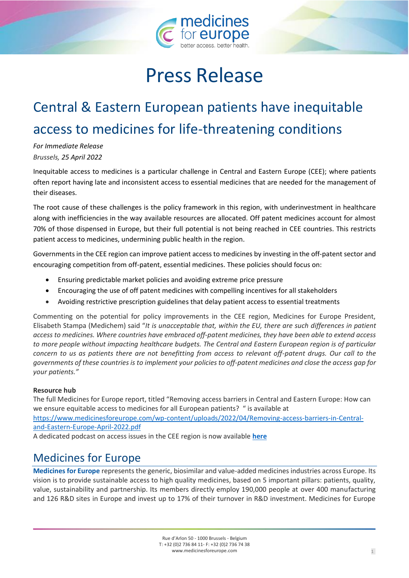

## Press Release

## Central & Eastern European patients have inequitable access to medicines for life-threatening conditions

*For Immediate Release Brussels, 25 April 2022*

Inequitable access to medicines is a particular challenge in Central and Eastern Europe (CEE); where patients often report having late and inconsistent access to essential medicines that are needed for the management of their diseases.

The root cause of these challenges is the policy framework in this region, with underinvestment in healthcare along with inefficiencies in the way available resources are allocated. Off patent medicines account for almost 70% of those dispensed in Europe, but their full potential is not being reached in CEE countries. This restricts patient access to medicines, undermining public health in the region.

Governments in the CEE region can improve patient access to medicines by investing in the off-patent sector and encouraging competition from off-patent, essential medicines. These policies should focus on:

- Ensuring predictable market policies and avoiding extreme price pressure
- Encouraging the use of off patent medicines with compelling incentives for all stakeholders
- Avoiding restrictive prescription guidelines that delay patient access to essential treatments

Commenting on the potential for policy improvements in the CEE region, Medicines for Europe President, Elisabeth Stampa (Medichem) said "*It is unacceptable that, within the EU, there are such differences in patient access to medicines. Where countries have embraced off-patent medicines, they have been able to extend access to more people without impacting healthcare budgets. The Central and Eastern European region is of particular concern to us as patients there are not benefitting from access to relevant off-patent drugs. Our call to the governments of these countries is to implement your policies to off-patent medicines and close the access gap for your patients."*

## **Resource hub**

The full Medicines for Europe report, titled "Removing access barriers in Central and Eastern Europe: How can we ensure equitable access to medicines for all European patients? " is available at [https://www.medicinesforeurope.com/wp-content/uploads/2022/04/Removing-access-barriers-in-Central](https://www.medicinesforeurope.com/wp-content/uploads/2022/04/Removing-access-barriers-in-Central-and-Eastern-Europe-April-2022.pdf)[and-Eastern-Europe-April-2022.pdf](https://www.medicinesforeurope.com/wp-content/uploads/2022/04/Removing-access-barriers-in-Central-and-Eastern-Europe-April-2022.pdf)

A dedicated podcast on access issues in the CEE region is now available **[here](https://www.medicinesforeurope.com/podcast/)**

## Medicines for Europe

**Medicines for Europe** represents the generic, biosimilar and value-added medicines industries across Europe. Its vision is to provide sustainable access to high quality medicines, based on 5 important pillars: patients, quality, value, sustainability and partnership. Its members directly employ 190,000 people at over 400 manufacturing and 126 R&D sites in Europe and invest up to 17% of their turnover in R&D investment. Medicines for Europe